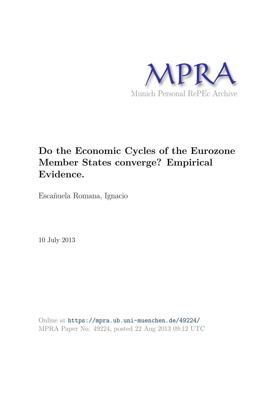

# **Do the Economic Cycles of the Eurozone Member States converge? Empirical Evidence.**

Escañuela Romana, Ignacio

10 July 2013

Online at https://mpra.ub.uni-muenchen.de/49224/ MPRA Paper No. 49224, posted 22 Aug 2013 09:12 UTC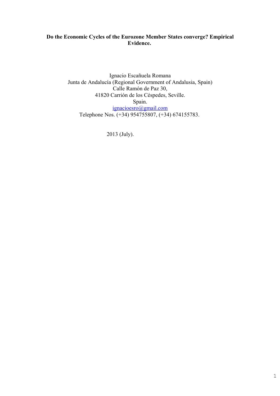# **Do the Economic Cycles of the Eurozone Member States converge? Empirical Evidence.**

Ignacio Escañuela Romana Junta de Andalucía (Regional Government of Andalusia, Spain) Calle Ramón de Paz 30, 41820 Carrión de los Céspedes, Seville. Spain. ignacioesro@gmail.com Telephone Nos. (+34) 954755807, (+34) 674155783.

2013 (July).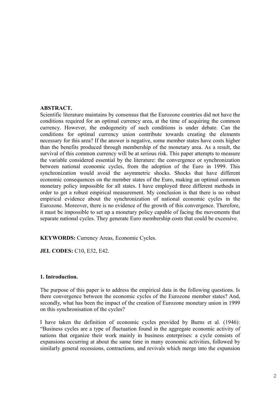#### **ABSTRACT.**

Scientific literature maintains by consensus that the Eurozone countries did not have the conditions required for an optimal currency area, at the time of acquiring the common currency. However, the endogeneity of such conditions is under debate. Can the conditions for optimal currency union contribute towards creating the elements necessary for this area? If the answer is negative, some member states have costs higher than the benefits produced through membership of the monetary area. As a result, the survival of this common currency will be at serious risk. This paper attempts to measure the variable considered essential by the literature: the convergence or synchronization between national economic cycles, from the adoption of the Euro in 1999. This synchronization would avoid the asymmetric shocks. Shocks that have different economic consequences on the member states of the Euro, making an optimal common monetary policy impossible for all states. I have employed three different methods in order to get a robust empirical measurement. My conclusion is that there is no robust empirical evidence about the synchronization of national economic cycles in the Eurozone. Moreover, there is no evidence of the growth of this convergence. Therefore, it must be impossible to set up a monetary policy capable of facing the movements that separate national cycles. They generate Euro membership costs that could be excessive.

**KEYWORDS:** Currency Areas, Economic Cycles.

**JEL CODES:** C10, E32, E42.

#### **1. Introduction.**

The purpose of this paper is to address the empirical data in the following questions. Is there convergence between the economic cycles of the Eurozone member states? And, secondly, what has been the impact of the creation of Eurozone monetary union in 1999 on this synchronisation of the cycles?

I have taken the definition of economic cycles provided by Burns et al. (1946): "Business cycles are a type of fluctuation found in the aggregate economic activity of nations that organize their work mainly in business enterprises: a cycle consists of expansions occurring at about the same time in many economic activities, followed by similarly general recessions, contractions, and revivals which merge into the expansion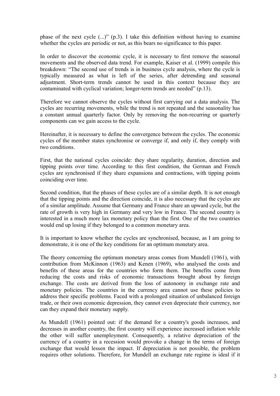phase of the next cycle (...)" (p.3). I take this definition without having to examine whether the cycles are periodic or not, as this bears no significance to this paper.

In order to discover the economic cycle, it is necessary to first remove the seasonal movements and the observed data trend. For example, Kaiser et al. (1999) compile this breakdown: "The second use of trends is in business cycle analysis, where the cycle is typically measured as what is left of the series, after detrending and seasonal adjustment. Short-term trends cannot be used in this context because they are contaminated with cyclical variation; longer-term trends are needed" (p.13).

Therefore we cannot observe the cycles without first carrying out a data analysis. The cycles are recurring movements, while the trend is not repeated and the seasonality has a constant annual quarterly factor. Only by removing the non-recurring or quarterly components can we gain access to the cycle.

Hereinafter, it is necessary to define the convergence between the cycles. The economic cycles of the member states synchronise or converge if, and only if, they comply with two conditions.

First, that the national cycles coincide: they share regularity, duration, direction and tipping points over time. According to this first condition, the German and French cycles are synchronised if they share expansions and contractions, with tipping points coinciding over time.

Second condition, that the phases of these cycles are of a similar depth. It is not enough that the tipping points and the direction coincide, it is also necessary that the cycles are of a similar amplitude. Assume that Germany and France share an upward cycle, but the rate of growth is very high in Germany and very low in France. The second country is interested in a much more lax monetary policy than the first. One of the two countries would end up losing if they belonged to a common monetary area.

It is important to know whether the cycles are synchronised, because, as I am going to demonstrate, it is one of the key conditions for an optimum monetary area.

The theory concerning the optimum monetary areas comes from Mundell (1961), with contribution from McKinnon (1963) and Kenen (1969), who analysed the costs and benefits of these areas for the countries who form them. The benefits come from reducing the costs and risks of economic transactions brought about by foreign exchange. The costs are derived from the loss of autonomy in exchange rate and monetary policies. The countries in the currency area cannot use these policies to address their specific problems. Faced with a prolonged situation of unbalanced foreign trade, or their own economic depression, they cannot even depreciate their currency, nor can they expand their monetary supply.

As Mundell (1961) pointed out: if the demand for a country's goods increases, and decreases in another country, the first country will experience increased inflation while the other will suffer unemployment. Consequently, a relative depreciation of the currency of a country in a recession would provoke a change in the terms of foreign exchange that would lessen the impact. If depreciation is not possible, the problem requires other solutions. Therefore, for Mundell an exchange rate regime is ideal if it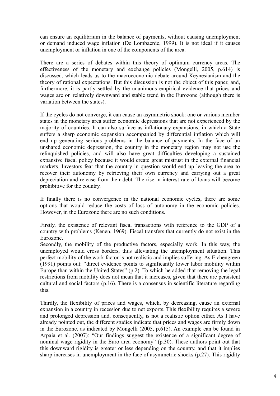can ensure an equilibrium in the balance of payments, without causing unemployment or demand induced wage inflation (De Lombaerde, 1999). It is not ideal if it causes unemployment or inflation in one of the components of the area.

There are a series of debates within this theory of optimum currency areas. The effectiveness of the monetary and exchange policies (Mongelli, 2005, p.614) is discussed, which leads us to the macroeconomic debate around Keynesianism and the theory of rational expectations. But this discussion is not the object of this paper, and, furthermore, it is partly settled by the unanimous empirical evidence that prices and wages are on relatively downward and stable trend in the Eurozone (although there is variation between the states).

If the cycles do not converge, it can cause an asymmetric shock: one or various member states in the monetary area suffer economic depressions that are not experienced by the majority of countries. It can also surface as inflationary expansions, in which a State suffers a sharp economic expansion accompanied by differential inflation which will end up generating serious problems in the balance of payments. In the face of an unshared economic depression, the country in the monetary region may not use the relinquished policies, and will also have great difficulties developing a sustained expansive fiscal policy because it would create great mistrust in the external financial markets. Investors fear that the country in question would end up leaving the area to recover their autonomy by retrieving their own currency and carrying out a great depreciation and release from their debt. The rise in interest rate of loans will become prohibitive for the country.

If finally there is no convergence in the national economic cycles, there are some options that would reduce the costs of loss of autonomy in the economic policies. However, in the Eurozone there are no such conditions.

Firstly, the existence of relevant fiscal transactions with reference to the GDP of a country with problems (Kenen, 1969). Fiscal transfers that currently do not exist in the Eurozone.

Secondly, the mobility of the productive factors, especially work. In this way, the unemployed would cross borders, thus alleviating the unemployment situation. This perfect mobility of the work factor is not realistic and implies suffering. As Eichengreen (1991) points out: "direct evidence points to significantly lower labor mobility within Europe than within the United States" (p.2). To which he added that removing the legal restrictions from mobility does not mean that it increases, given that there are persistent cultural and social factors (p.16). There is a consensus in scientific literature regarding this.

Thirdly, the flexibility of prices and wages, which, by decreasing, cause an external expansion in a country in recession due to net exports. This flexibility requires a severe and prolonged depression and, consequently, is not a realistic option either. As I have already pointed out, the different studies indicate that prices and wages are firmly down in the Eurozone, as indicated by Mongelli (2005, p.615). An example can be found in Arpaia et al. (2007): "Our findings suggest the existence of a significant degree of nominal wage rigidity in the Euro area economy" (p.30). These authors point out that this downward rigidity is greater or less depending on the country, and that it implies sharp increases in unemployment in the face of asymmetric shocks (p.27). This rigidity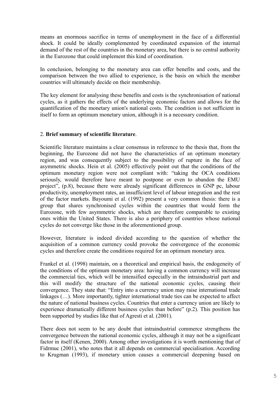means an enormous sacrifice in terms of unemployment in the face of a differential shock. It could be ideally complemented by coordinated expansion of the internal demand of the rest of the countries in the monetary area, but there is no central authority in the Eurozone that could implement this kind of coordination.

In conclusion, belonging to the monetary area can offer benefits and costs, and the comparison between the two allied to experience, is the basis on which the member countries will ultimately decide on their membership.

The key element for analysing these benefits and costs is the synchronisation of national cycles, as it gathers the effects of the underlying economic factors and allows for the quantification of the monetary union's national costs. The condition is not sufficient in itself to form an optimum monetary union, although it is a necessary condition.

## 2. **Brief summary of scientific literature**.

Scientific literature maintains a clear consensus in reference to the thesis that, from the beginning, the Eurozone did not have the characteristics of an optimum monetary region, and was consequently subject to the possibility of rupture in the face of asymmetric shocks. Hein et al. (2005) effectively point out that the conditions of the optimum monetary region were not compliant with: "taking the OCA conditions seriously, would therefore have meant to postpone or even to abandon the EMU project", (p.8), because there were already significant differences in GNP pc, labour productivity, unemployment rates, an insufficient level of labour integration and the rest of the factor markets. Bayoumi et al. (1992) present a very common thesis: there is a group that shares synchronised cycles within the countries that would form the Eurozone, with few asymmetric shocks, which are therefore comparable to existing ones within the United States. There is also a periphery of countries whose national cycles do not converge like those in the aforementioned group.

However, literature is indeed divided according to the question of whether the acquisition of a common currency could provoke the convergence of the economic cycles and therefore create the conditions required for an optimum monetary area.

Frankel et al. (1998) maintain, on a theoretical and empirical basis, the endogeneity of the conditions of the optimum monetary area: having a common currency will increase the commercial ties, which will be intensified especially in the intraindustrial part and this will modify the structure of the national economic cycles, causing their convergence. They state that: "Entry into a currency union may raise international trade linkages  $(\ldots)$ . More importantly, tighter international trade ties can be expected to affect the nature of national business cycles. Countries that enter a currency union are likely to experience dramatically different business cycles than before" (p.2). This position has been supported by studies like that of Agresti et al. (2001).

There does not seem to be any doubt that intraindustrial commerce strengthens the convergence between the national economic cycles, although it may not be a significant factor in itself (Kenen, 2000). Among other investigations it is worth mentioning that of Fidrmuc (2001), who notes that it all depends on commercial specialisation. According to Krugman (1993), if monetary union causes a commercial deepening based on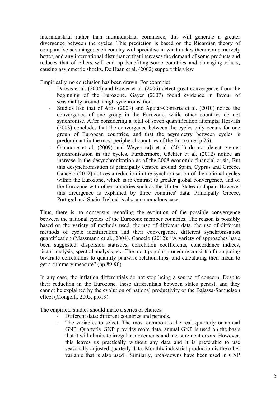interindustrial rather than intraindustrial commerce, this will generate a greater divergence between the cycles. This prediction is based on the Ricardian theory of comparative advantage: each country will specialise in what makes them comparatively better, and any international disturbance that increases the demand of some products and reduces that of others will end up benefiting some countries and damaging others, causing asymmetric shocks. De Haan et al. (2002) support this view.

Empirically, no conclusion has been drawn. For example:

- Darvas et al. (2004) and Böwer et al. (2006) detect great convergence from the beginning of the Eurozone. Gayer (2007) found evidence in favour of seasonality around a high synchronisation.
- Studies like that of Artis (2003) and Aguiar-Conraria et al. (2010) notice the convergence of one group in the Eurozone, while other countries do not synchronise. After considering a total of seven quantification attempts, Horvath (2003) concludes that the convergence between the cycles only occurs for one group of European countries, and that the asymmetry between cycles is predominant in the most peripheral countries of the Eurozone (p.26).
- Giannone et al. (2009) and Weyerstraß et al. (2011) do not detect greater synchronisation in the cycles. Furthermore, Gächter et al. (2012) notice an increase in the desynchronization as of the 2008 economic-financial crisis, But this desynchronisation is principally centred around Spain, Cyprus and Greece. Cancelo (2012) notices a reduction in the synchronisation of the national cycles within the Eurozone, which is in contrast to greater global convergence, and of the Eurozone with other countries such as the United States or Japan. However this divergence is explained by three countries' data: Principally Greece, Portugal and Spain. Ireland is also an anomalous case.

Thus, there is no consensus regarding the evolution of the possible convergence between the national cycles of the Eurozone member countries. The reason is possibly based on the variety of methods used: the use of different data, the use of different methods of cycle identification and their convergence, different synchronisation quantification (Massmann et al., 2004). Cancelo (2012): "A variety of approaches have been suggested: dispersion statistics, correlation coefficients, concordance indices, factor analysis, spectral analysis, etc. The most popular procedure consists of computing bivariate correlations to quantify pairwise relationships, and calculating their mean to get a summary measure" (pp.89-90).

In any case, the inflation differentials do not stop being a source of concern. Despite their reduction in the Eurozone, these differentials between states persist, and they cannot be explained by the evolution of national productivity or the Balassa-Samuelson effect (Mongelli, 2005, p.619).

The empirical studies should make a series of choices:

- Different data: different countries and periods.
- The variables to select. The most common is the real, quarterly or annual GNP. Quarterly GNP provides more data, annual GNP is used on the basis that it will eliminate irregular movements and measurement errors. However, this leaves us practically without any data and it is preferable to use seasonally adjusted quarterly data. Monthly industrial production is the other variable that is also used . Similarly, breakdowns have been used in GNP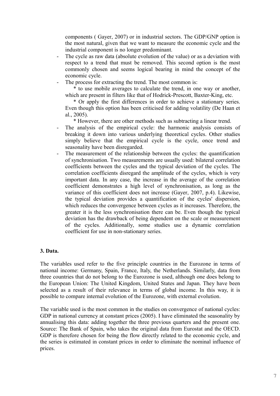components ( Gayer, 2007) or in industrial sectors. The GDP/GNP option is the most natural, given that we want to measure the economic cycle and the industrial component is no longer predominant.

- The cycle as raw data (absolute evolution of the value) or as a deviation with respect to a trend that must be removed. This second option is the most commonly chosen and seems logical bearing in mind the concept of the economic cycle.
- The process for extracting the trend. The most common is:

\* to use mobile averages to calculate the trend, in one way or another, which are present in filters like that of Hodrick-Prescott, Baxter-King, etc.

\* Or apply the first differences in order to achieve a stationary series. Even though this option has been criticised for adding volatility (De Haan et al., 2005).

\* However, there are other methods such as subtracting a linear trend.

- The analysis of the empirical cycle: the harmonic analysis consists of breaking it down into various underlying theoretical cycles. Other studies simply believe that the empirical cycle is the cycle, once trend and seasonality have been disregarded.
- The measurement of the relationship between the cycles: the quantification of synchronisation. Two measurements are usually used: bilateral correlation coefficients between the cycles and the typical deviation of the cycles. The correlation coefficients disregard the amplitude of the cycles, which is very important data. In any case, the increase in the average of the correlation coefficient demonstrates a high level of synchronisation, as long as the variance of this coefficient does not increase (Gayer, 2007, p.4). Likewise, the typical deviation provides a quantification of the cycles' dispersion, which reduces the convergence between cycles as it increases. Therefore, the greater it is the less synchronisation there can be. Even though the typical deviation has the drawback of being dependent on the scale or measurement of the cycles. Additionally, some studies use a dynamic correlation coefficient for use in non-stationary series.

## **3. Data.**

The variables used refer to the five principle countries in the Eurozone in terms of national income: Germany, Spain, France, Italy, the Netherlands. Similarly, data from three countries that do not belong to the Eurozone is used, although one does belong to the European Union: The United Kingdom, United States and Japan. They have been selected as a result of their relevance in terms of global income. In this way, it is possible to compare internal evolution of the Eurozone, with external evolution.

The variable used is the most common in the studies on convergence of national cycles: GDP in national currency at constant prices (2005). I have eliminated the seasonality by annualising this data: adding together the three previous quarters and the present one. Source: The Bank of Spain, who takes the original data from Eurostat and the OECD. GDP is therefore chosen for being the flow directly related to the economic cycle, and the series is estimated in constant prices in order to eliminate the nominal influence of prices.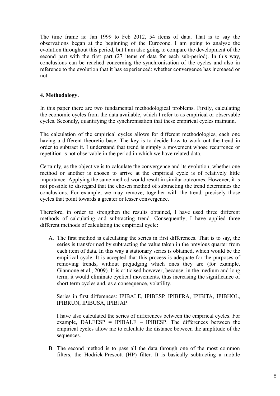The time frame is: Jan 1999 to Feb 2012, 54 items of data. That is to say the observations began at the beginning of the Eurozone. I am going to analyse the evolution throughout this period, but I am also going to compare the development of the second part with the first part (27 items of data for each sub-period). In this way, conclusions can be reached concerning the synchronisation of the cycles and also in reference to the evolution that it has experienced: whether convergence has increased or not.

## **4. Methodology.**

In this paper there are two fundamental methodological problems. Firstly, calculating the economic cycles from the data available, which I refer to as empirical or observable cycles. Secondly, quantifying the synchronisation that these empirical cycles maintain.

The calculation of the empirical cycles allows for different methodologies, each one having a different theoretic base. The key is to decide how to work out the trend in order to subtract it. I understand that trend is simply a movement whose recurrence or repetition is not observable in the period in which we have related data.

Certainly, as the objective is to calculate the convergence and its evolution, whether one method or another is chosen to arrive at the empirical cycle is of relatively little importance. Applying the same method would result in similar outcomes. However, it is not possible to disregard that the chosen method of subtracting the trend determines the conclusions. For example, we may remove, together with the trend, precisely those cycles that point towards a greater or lesser convergence.

Therefore, in order to strengthen the results obtained, I have used three different methods of calculating and subtracting trend. Consequently, I have applied three different methods of calculating the empirical cycle:

A. The first method is calculating the series in first differences. That is to say, the series is transformed by subtracting the value taken in the previous quarter from each item of data. In this way a stationary series is obtained, which would be the empirical cycle. It is accepted that this process is adequate for the purposes of removing trends, without prejudging which ones they are (for example, Giannone et al., 2009). It is criticised however, because, in the medium and long term, it would eliminate cyclical movements, thus increasing the significance of short term cycles and, as a consequence, volatility.

Series in first differences: IPIBALE, IPIBESP, IPIBFRA, IPIBITA, IPIBHOL, IPIBRUN, IPIBUSA, IPIBJAP.

I have also calculated the series of differences between the empirical cycles. For example, DALEESP = IPIBALE – IPIBESP. The differences between the empirical cycles allow me to calculate the distance between the amplitude of the sequences.

B. The second method is to pass all the data through one of the most common filters, the Hodrick-Prescott (HP) filter. It is basically subtracting a mobile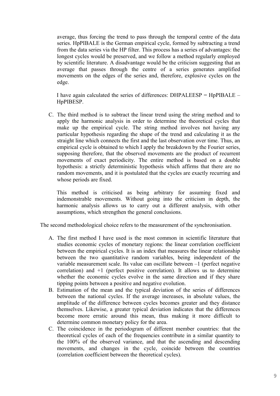average, thus forcing the trend to pass through the temporal centre of the data series. HpPIBALE is the German empirical cycle, formed by subtracting a trend from the data series via the HP filter. This process has a series of advantages: the longest cycles would be preserved, and we follow a method regularly employed by scientific literature. A disadvantage would be the criticism suggesting that an average that passes through the centre of a series generates amplified movements on the edges of the series and, therefore, explosive cycles on the edge.

I have again calculated the series of differences:  $DHPALEESP = HpPIBALE$  – HpPIBESP.

C. The third method is to subtract the linear trend using the string method and to apply the harmonic analysis in order to determine the theoretical cycles that make up the empirical cycle. The string method involves not having any particular hypothesis regarding the shape of the trend and calculating it as the straight line which connects the first and the last observation over time. Thus, an empirical cycle is obtained to which I apply the breakdown by the Fourier series, supposing therefore, that the observed movements are the product of recurrent movements of exact periodicity. The entire method is based on a double hypothesis: a strictly deterministic hypothesis which affirms that there are no random movements, and it is postulated that the cycles are exactly recurring and whose periods are fixed.

This method is criticised as being arbitrary for assuming fixed and indemonstrable movements. Without going into the criticism in depth, the harmonic analysis allows us to carry out a different analysis, with other assumptions, which strengthen the general conclusions.

The second methodological choice refers to the measurement of the synchronisation.

- A. The first method I have used is the most common in scientific literature that studies economic cycles of monetary regions: the linear correlation coefficient between the empirical cycles. It is an index that measures the linear relationship between the two quantitative random variables, being independent of the variable measurement scale. Its value can oscillate between –1 (perfect negative correlation) and  $+1$  (perfect positive correlation). It allows us to determine whether the economic cycles evolve in the same direction and if they share tipping points between a positive and negative evolution.
- B. Estimation of the mean and the typical deviation of the series of differences between the national cycles. If the average increases, in absolute values, the amplitude of the difference between cycles becomes greater and they distance themselves. Likewise, a greater typical deviation indicates that the differences become more erratic around this mean, thus making it more difficult to determine common monetary policy for the area.
- C. The coincidence in the periodogram of different member countries: that the theoretical cycles of each of the frequencies contribute in a similar quantity to the 100% of the observed variance, and that the ascending and descending movements, and changes in the cycle, coincide between the countries (correlation coefficient between the theoretical cycles).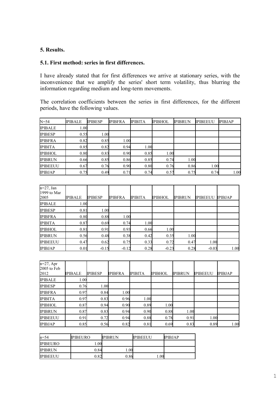## **5. Results.**

## **5.1. First method: series in first differences.**

I have already stated that for first differences we arrive at stationary series, with the inconvenience that we amplify the series' short term volatility, thus blurring the information regarding medium and long-term movements.

The correlation coefficients between the series in first differences, for the different periods, have the following values.

| $N=54$          | <b>IPIBALE</b> | <b>IPIBESP</b> | <b>IPIBFRA</b> | <b>IPIBITA</b> | <b>IPIBHOL</b> | <b>IPIBRUN</b> | <b>IPIBEEUU</b> | <b>IPIBJAP</b> |
|-----------------|----------------|----------------|----------------|----------------|----------------|----------------|-----------------|----------------|
| <b>IPIBALE</b>  | 1.00           |                |                |                |                |                |                 |                |
| <b>IPIBESP</b>  | 0.55           | 1.00           |                |                |                |                |                 |                |
| <b>IPIBFRA</b>  | 0.82           | 0.85           | 1.00           |                |                |                |                 |                |
| <b>IPIBITA</b>  | 0.85           | 0.82           | 0.94           | 1.00           |                |                |                 |                |
| <b>IPIBHOL</b>  | 0.80           | 0.83           | 0.90           | 0.85           | 1.00           |                |                 |                |
| <b>IPIBRUN</b>  | 0.66           | 0.85           | 0.86           | 0.85           | 0.74           | 1.00           |                 |                |
| <b>IPIBEEUU</b> | 0.67           | 0.76           | 0.90           | 0.80           | 0.76           | 0.86           | 1.00            |                |
| <b>IPIBJAP</b>  | 0.75           | 0.49           | 0.71           | 0.74           | 0.57           | 0.75           | 0.74            | 1.00           |

| $n=27$ , Jan<br>1999 to Mar<br>2005 | <b>IPIBALE</b> | <b>IPIBESP</b> | <b>IPIBFRA</b> | <b>IPIBITA</b> | <b>IPIBHOL</b> | <b>IPIBRUN</b> | <b>IPIBEEUU</b> | <b>IPIBJAP</b> |
|-------------------------------------|----------------|----------------|----------------|----------------|----------------|----------------|-----------------|----------------|
| <b>IPIBALE</b>                      | 1.00           |                |                |                |                |                |                 |                |
| <b>IPIBESP</b>                      | 0.81           | 1.00           |                |                |                |                |                 |                |
| <b>IPIBFRA</b>                      | 0.80           | 0.88           | 1.00           |                |                |                |                 |                |
| <b>IPIBITA</b>                      | 0.87           | 0.69           | 0.74           | 1.00           |                |                |                 |                |
| <b>IPIBHOL</b>                      | 0.81           | 0.91           | 0.93           | 0.66           | 1.00           |                |                 |                |
| <b>IPIBRUN</b>                      | 0.56           | 0.48           | 0.38           | 0.42           | 0.35           | 1.00           |                 |                |
| <b>IPIBEEUU</b>                     | 0.47           | 0.62           | 0.75           | 0.33           | 0.72           | 0.47           | 1.00            |                |
| <b>IPIBJAP</b>                      | 0.01           | $-0.15$        | $-0.12$        | 0.28           | $-0.23$        | 0.28           | $-0.03$         | 1.00           |

| $n=27$ , Apr<br>$2005$ to Feb<br>2012 | <b>IPIBALE</b> | <b>IPIBESP</b> | <b>IPIBFRA</b> | <b>IPIBITA</b> | <b>IPIBHOL</b> | <b>IPIBRUN</b> | <b>IPIBEEUU</b> | <b>IPIBJAP</b> |
|---------------------------------------|----------------|----------------|----------------|----------------|----------------|----------------|-----------------|----------------|
| <b>IPIBALE</b>                        | 1.00           |                |                |                |                |                |                 |                |
| <b>IPIBESP</b>                        | 0.76           | 1.00           |                |                |                |                |                 |                |
| <b>IPIBFRA</b>                        | 0.97           | 0.84           | 1.00           |                |                |                |                 |                |
| <b>IPIBITA</b>                        | 0.97           | 0.83           | 0.96           | 1.00           |                |                |                 |                |
| <b>IPIBHOL</b>                        | 0.87           | 0.94           | 0.90           | 0.89           | 1.00           |                |                 |                |
| <b>IPIBRUN</b>                        | 0.87           | 0.83           | 0.94           | 0.90           | 0.88           | 1.00           |                 |                |
| <b>IPIBEEUU</b>                       | 0.91           | 0.72           | 0.94           | 0.88           | 0.78           | 0.91           | 1.00            |                |
| <b>IPIBJAP</b>                        | 0.85           | 0.56           | 0.82           | 0.81           | 0.69           | 0.83           | 0.89            | 1.00           |

| $ln=54$         | <b>IPIBEURO</b> | <b>IPIBRUN</b> | <b>IPIBEEUU</b> | <b>IPIBJAP</b> |
|-----------------|-----------------|----------------|-----------------|----------------|
| <b>IPIBEURO</b> | 0.00            |                |                 |                |
| <b>IPIBRUN</b>  | 0.84            | 00.1           |                 |                |
| <b>IPIBEEUU</b> | 0.82            | 0.86           | .00             |                |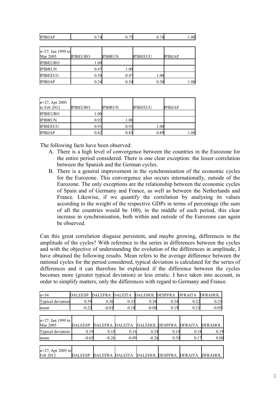|  | -<br>IIPI<br><br> | Λ |  |  | $\sim$<br>vv |
|--|-------------------|---|--|--|--------------|
|--|-------------------|---|--|--|--------------|

| $n=27$ , Jan 1999 to<br>Mar 2005 | <b>IPIBEURO</b> | <b>IPIBRUN</b> | <b>IPIBEEUU</b> | <b>IPIBJAP</b> |
|----------------------------------|-----------------|----------------|-----------------|----------------|
| <b>IPIBEURO</b>                  | 0.00            |                |                 |                |
| <b>IPIBRUN</b>                   | 0.47            | 1.00           |                 |                |
| <b>IPIBEEUU</b>                  | 0.58            | 0.47           | $1.00\,$        |                |
| <b>IPIBJAP</b>                   | 0.24            | 0.54           | 0.30            | 00.1           |

| $n=27$ , Apr 2005<br>to Feb $2012$ | IPIBEURO | <b>IPIBRUN</b> | <b>IPIBEEUU</b> | <b>IPIBJAP</b> |
|------------------------------------|----------|----------------|-----------------|----------------|
| <b>IPIBEURO</b>                    | 0.00     |                |                 |                |
| <b>IPIBRUN</b>                     | 0.92     | 1.00           |                 |                |
| <b>IPIBEEUU</b>                    | 0.91     | 0.91           | 00.1            |                |
| <b>IPIBJAP</b>                     | 0.82     | 0.83           | 0.89            | .00            |

The following facts have been observed:

- A. There is a high level of convergence between the countries in the Eurozone for the entire period considered. There is one clear exception: the lesser correlation between the Spanish and the German cycles.
- B. There is a general improvement in the synchronisation of the economic cycles for the Eurozone. This convergence also occurs internationally, outside of the Eurozone. The only exceptions are the relationship between the economic cycles of Spain and of Germany and France, as well as between the Netherlands and France. Likewise, if we quantify the correlation by analysing its values according to the weight of the respective GDPs in terms of percentage (the sum of all the countries would be 100), in the middle of each period, this clear increase in synchronisation, both within and outside of the Eurozone can again be observed.

Can this great correlation disguise persistent, and maybe growing, differences in the amplitude of the cycles? With reference to the series in differences between the cycles and with the objective of understanding the evolution of the differences in amplitude, I have obtained the following results. Mean refers to the average difference between the national cycles for the period considered, typical deviation is calculated for the series of differences and it can therefore be explained if the difference between the cycles becomes more (greater typical deviation) or less erratic. I have taken into account, in order to simplify matters, only the differences with regard to Germany and France.

| $n = 54$             | <b>DALEESP</b> | <b>DALEFRA</b>  | <b>DALEITA</b> | <b>DALEHOL</b>  | <b>DESPFRA</b> | <b>DFRAITA</b> | <b>DFRAHOL</b> |
|----------------------|----------------|-----------------|----------------|-----------------|----------------|----------------|----------------|
| Typical deviation    | 0.59           | 0.36            | 0.33           | 0.38            | 0.34           | 0.22           | 0.25           |
| mean                 | $-0.22$        | $-0.03$         | 0.18           | $-0.08$         | 0.19           | 0.21           | $-0.05$        |
|                      |                |                 |                |                 |                |                |                |
| $n=27$ , Jan 1999 to |                |                 |                |                 |                |                |                |
| Mar 2005             | <b>DALEESP</b> | <b>DALEFRA</b>  | <b>DALEITA</b> | <b>DALEHOL</b>  | <b>DESPFRA</b> | <b>DFRAITA</b> | <b>DFRAHOL</b> |
| Typical deviation    | 0.19           | 0.18            | 0.16           | 0.24            | 0.14           | 0.18           | 0.19           |
| mean                 | $-0.65$        | $-0.26$         | $-0.09$        | $-0.26$         | 0.39           | 0.17           | 0.00           |
|                      |                |                 |                |                 |                |                |                |
| $n=27$ , Apr 2005 to |                |                 |                |                 |                |                |                |
| Feb 2012             | <b>DALEESP</b> | DALEFRA DALEITA |                | DALEHOL DESPFRA |                | <b>DFRAITA</b> | <b>DFRAHOL</b> |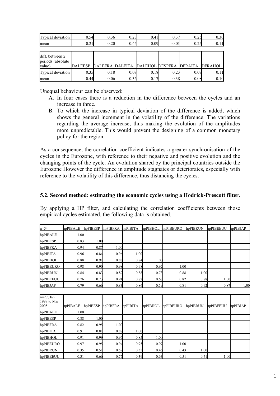| Typical deviation                    | 0.54           | 0.36            | 0.23 | 0.41            | 0.37    | 0.25           | 0.30           |
|--------------------------------------|----------------|-----------------|------|-----------------|---------|----------------|----------------|
| mean                                 | 0.21           | 0.20            | 0.45 | 0.09            | $-0.01$ | 0.25           | $-0.11$        |
|                                      |                |                 |      |                 |         |                |                |
| diff. between 2<br>periods (absolute |                |                 |      |                 |         |                |                |
| value)                               | <b>DALEESP</b> | DALEFRA DALEITA |      | DALEHOL DESPFRA |         | <b>DFRAITA</b> | <b>DFRAHOL</b> |
| Typical deviation                    | 0.35           | 0.18            | 0.08 | 0.18            | 0.23    | 0.07           | 0.11           |
| mean                                 | $-0.44$        | $-0.06$         | 0.36 | $-0.17$         | $-0.38$ | 0.08           | 0.10           |

Unequal behaviour can be observed:

- A. In four cases there is a reduction in the difference between the cycles and an increase in three.
- B. To which the increase in typical deviation of the difference is added, which shows the general increment in the volatility of the difference. The variations regarding the average increase, thus making the evolution of the amplitudes more unpredictable. This would prevent the designing of a common monetary policy for the region.

As a consequence, the correlation coefficient indicates a greater synchronisation of the cycles in the Eurozone, with reference to their negative and positive evolution and the changing points of the cycle. An evolution shared by the principal countries outside the Eurozone However the difference in amplitude stagnates or deteriorates, especially with reference to the volatility of this difference, thus distancing the cycles.

## **5.2. Second method: estimating the economic cycles using a Hodrick-Prescott filter.**

By applying a HP filter, and calculating the correlation coefficients between those empirical cycles estimated, the following data is obtained.

| $n = 54$                    | hpPIBALE | hpPIBESP | hpPIBFRA | hpPIBITA | hpPIBHOL | hpPIBEURO | hpPIBRUN | hpPIBEEUU | hpPIBJAP |
|-----------------------------|----------|----------|----------|----------|----------|-----------|----------|-----------|----------|
| hpPIBALE                    | 1.00     |          |          |          |          |           |          |           |          |
| hpPIBESP                    | 0.83     | 1.00     |          |          |          |           |          |           |          |
| hpPIBFRA                    | 0.94     | 0.87     | 1.00     |          |          |           |          |           |          |
| hpPIBITA                    | 0.96     | 0.84     | 0.96     | 1.00     |          |           |          |           |          |
| hpPIBHOL                    | 0.88     | 0.91     | 0.88     | 0.84     | 1.00     |           |          |           |          |
| hpPIBEURO                   | 0.98     | 0.90     | 0.98     | 0.98     | 0.92     | 1.00      |          |           |          |
| hpPIBRUN                    | 0.84     | 0.83     | 0.89     | 0.88     | 0.73     | 0.88      | 1.00     |           |          |
| hpPIBEEUU                   | 0.76     | 0.73     | 0.91     | 0.82     | 0.68     | 0.82      | 0.88     | 1.00      |          |
| hpPIBJAP                    | 0.79     | 0.66     | 0.83     | 0.86     | 0.59     | 0.81      | 0.92     | 0.87      | 1.00     |
|                             |          |          |          |          |          |           |          |           |          |
| $n=27$ , Jan<br>1999 to Mar |          |          |          |          |          |           |          |           |          |
| 2005                        | hpPIBALE | hpPIBESP | hpPIBFRA | hpPIBITA | hpPIBHOL | hpPIBEURO | hpPIBRUN | hpPIBEEUU | hpPIBJAP |
| hpPIBALE                    | 1.00     |          |          |          |          |           |          |           |          |

| -- - - - - - - - -<br>1999 to Mar<br>2005 | hpPIBALE | hpPIBESP | hpPIBFRA hpPIBITA |      | hpPIBHOL | hpPIBEURO | hpPIBRUN | hpPIBEEUU | hpPIBJAP |
|-------------------------------------------|----------|----------|-------------------|------|----------|-----------|----------|-----------|----------|
| hpPIBALE                                  | 1.00     |          |                   |      |          |           |          |           |          |
| hpPIBESP                                  | 0.88     | 1.00     |                   |      |          |           |          |           |          |
| hpPIBFRA                                  | 0.82     | 0.95     | 1.00              |      |          |           |          |           |          |
| hpPIBITA                                  | 0.91     | 0.81     | 0.87              | 1.00 |          |           |          |           |          |
| hpPIBHOL                                  | 0.91     | 0.99     | 0.96              | 0.85 | 1.00     |           |          |           |          |
| hpPIBEURO                                 | 0.97     | 0.95     | 0.94              | 0.95 | 0.97     | 1.00      |          |           |          |
| hpPIBRUN                                  | 0.35     | 0.51     | 0.52              | 0.35 | 0.46     | 0.43      | 1.00     |           |          |
| hpPIBEEUU                                 | 0.31     | 0.66     | 0.75              | 0.39 | 0.63     | 0.51      | 0.71     | 1.00      |          |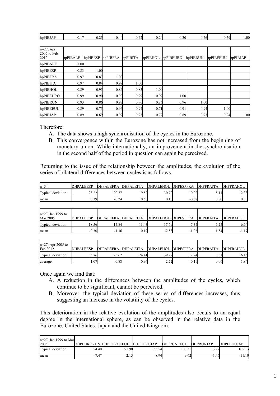| $\sim$<br>hpPIBJAP<br>_ | . | ∪.∠ | . 44<br>--<br>$v -$ | $\sim$<br>. | 27I<br>ິ∴⊶ | $\sim$ $\sim$<br>1.30 | л.<br>. | $\sim$ $\sim$<br>่าน<br>∪.∪ | $00_{.1}$ |
|-------------------------|---|-----|---------------------|-------------|------------|-----------------------|---------|-----------------------------|-----------|
|-------------------------|---|-----|---------------------|-------------|------------|-----------------------|---------|-----------------------------|-----------|

| $n=27$ , Apr<br>$2005$ to Feb<br>2012 | hpPIBALE | hpPIBESP | hpPIBFRA hpPIBITA |      | hpPIBHOL | hpPIBEURO | hpPIBRUN | hpPIBEEUU | hpPIBJAP |
|---------------------------------------|----------|----------|-------------------|------|----------|-----------|----------|-----------|----------|
| hpPIBALE                              | 1.00     |          |                   |      |          |           |          |           |          |
| hpPIBESP                              | 0.83     | 1.00     |                   |      |          |           |          |           |          |
| hpPIBFRA                              | 0.97     | 0.87     | 1.00              |      |          |           |          |           |          |
| hpPIBITA                              | 0.97     | 0.84     | 0.99              | 1.00 |          |           |          |           |          |
| hpPIBHOL                              | 0.89     | 0.95     | 0.86              | 0.85 | 1.00     |           |          |           |          |
| hpPIBEURO                             | 0.99     | 0.90     | 0.99              | 0.99 | 0.92     | 1.00      |          |           |          |
| hpPIBRUN                              | 0.93     | 0.86     | 0.97              | 0.96 | 0.86     | 0.96      | 1.00     |           |          |
| hpPIBEEUU                             | 0.89     | 0.75     | 0.96              | 0.94 | 0.71     | 0.91      | 0.94     | 1.00      |          |
| hpPIBJAP                              | 0.89     | 0.69     | 0.92              | 0.93 | 0.72     | 0.89      | 0.93     | 0.94      | 1.00     |

Therefore:

- A. The data shows a high synchronisation of the cycles in the Eurozone.
- B. This convergence within the Eurozone has not increased from the beginning of monetary union. While internationally, an improvement in the synchronisation in the second half of the period in question can again be perceived.

Returning to the issue of the relationship between the amplitudes, the evolution of the series of bilateral differences between cycles is as follows.

| $ln=54$           | <b>DHPALEESP</b> | <b>DHPALEFRA</b>                 | <b>DHPALEITA</b> | DHPALEHOL | <b>DHPESPFRA</b> | DHPFRAITA | DHPFRAHOL |
|-------------------|------------------|----------------------------------|------------------|-----------|------------------|-----------|-----------|
| Typical deviation | 28.22            | 20.7<br>$\overline{\phantom{a}}$ | 19.52            | 30.70     | 10.02            | $\sim$    | 12.33     |
| mean              | 0.39             | $-0.24$                          | 0.56             | $0.10\,$  | $-0.62$          | $_{0.80}$ | 0.33      |

| $n=27$ , Jan 1999 to<br>Mar 2005 | <b>DHPALEESP</b> | DHPALEFRA DHPALEITA |       | DHPALEHOL DHPESPFRA |         | <b>DHPFRAITA</b> | <b>DHPFRAHOL</b> |
|----------------------------------|------------------|---------------------|-------|---------------------|---------|------------------|------------------|
| Typical deviation                | 18.56            | 14.84               | 13.43 | 7.69                |         |                  | 6.64             |
| mean                             | $-0.30$          | $-1.36$             | n 19  | $-2.53$             | $-1.06$ | . .54            | $-1.17$          |

| $n=27$ , Apr 2005 to<br>Feb 2012 | <b>DHPALEESP</b> | DHPALEFRA DHPALEITA |       | DHPALEHOL DHPESPFRA |         | DHPFRAITA | <b>DHPFRAHOL</b> |
|----------------------------------|------------------|---------------------|-------|---------------------|---------|-----------|------------------|
| Typical deviation                | 35.76            | 25.62               | 24.41 | 39.92               | 12.24   | ا 61.د    | 16.151           |
| average                          | .07              | ).88                | 0.94  | $\sim$              | $-0.19$ | $0.06\,$  | . 84             |

Once again we find that:

- A. A reduction in the differences between the amplitudes of the cycles, which continue to be significant, cannot be perceived.
- B. Moreover, the typical deviation of these series of differences increases, thus suggesting an increase in the volatility of the cycles.

This deterioration in the relative evolution of the amplitudes also occurs to an equal degree in the international sphere, as can be observed in the relative data in the Eurozone, United States, Japan and the United Kingdom.

| $n=27$ , Jan 1999 to Mar |         |                        |            |            |            |             |
|--------------------------|---------|------------------------|------------|------------|------------|-------------|
| 2005                     |         | DHPEURORUN DHPEUROEEUU | DHPEUROJAP | DHPRUNEEUU | DHPRUNJAP  | DHPEEUUJAP  |
| Typical deviation        | 54.40   | 91.90                  | 55.54      | 103.35     |            | 105.13      |
| mean                     | $-7.47$ | 2.13                   | $-8.94$    | 9.62       | .47<br>- 1 | 1.10<br>- 1 |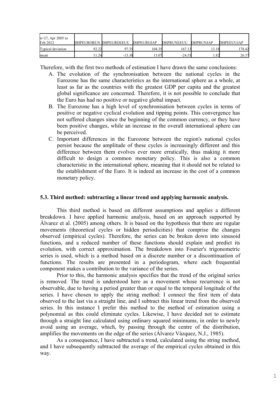| $n=27$ , Apr 2005 to<br>Feb 2012 |               | DHPEURORUN DHPEUROEEUU | <b>DHPEUROJAP</b> | <b>DHPRUNEEUU</b> | <b>DHPRUNJAP</b> | DHPEEUUJAP |
|----------------------------------|---------------|------------------------|-------------------|-------------------|------------------|------------|
| Typical deviation                | רר רב<br>2.LZ | .35                    | 104.35            | 167.1             | .3.18            | 78.42      |
| mean                             | 1.24          | $-13.30$               | 3.07              | $-24.55$          | റ                | 26.37      |

Therefore, with the first two methods of estimation I have drawn the same conclusions:

- A. The evolution of the synchronisation between the national cycles in the Eurozone has the same characteristics as the international sphere as a whole, at least as far as the countries with the greatest GDP per capita and the greatest global significance are concerned. Therefore, it is not possible to conclude that the Euro has had no positive or negative global impact.
- B. The Eurozone has a high level of synchronisation between cycles in terms of positive or negative cyclical evolution and tipping points. This convergence has not suffered changes since the beginning of the common currency, or they have been positive changes, while an increase in the overall international sphere can be perceived.
- C. Important differences in the Eurozone between the region's national cycles persist because the amplitude of these cycles is increasingly different and this difference between them evolves ever more erratically, thus making it more difficult to design a common monetary policy. This is also a common characteristic in the international sphere, meaning that it should not be related to the establishment of the Euro. It is indeed an increase in the cost of a common monetary policy.

#### **5.3. Third method: subtracting a linear trend and applying harmonic analysis.**

This third method is based on different assumptions and applies a different breakdown. I have applied harmonic analysis, based on an approach supported by Álvarez et al. (2005) among others. It is based on the hypothesis that there are regular movements (theoretical cycles or hidden periodicities) that comprise the changes observed (empirical cycles). Therefore, the series can be broken down into sinusoid functions, and a reduced number of these functions should explain and predict its evolution, with correct approximation. The breakdown into Fourier's trigonometric series is used, which is a method based on a discrete number or a discontinuation of functions. The results are presented in a periodogram, where each frequential component makes a contribution to the variance of the series.

Prior to this, the harmonic analysis specifies that the trend of the original series is removed. The trend is understood here as a movement whose recurrence is not observable, due to having a period greater than or equal to the temporal longitude of the series. I have chosen to apply the string method: I connect the first item of data observed to the last via a straight line, and I subtract this linear trend from the observed series. In this instance I prefer this method to the method of estimation using a polynomial as this could eliminate cycles. Likewise, I have decided not to estimate through a straight line calculated using ordinary squared minimums, in order to newly avoid using an average, which, by passing through the centre of the distribution, amplifies the movements on the edge of the series (Álvarez Vázquez, N.J., 1985).

As a consequence, I have subtracted a trend, calculated using the string method, and I have subsequently subtracted the average of the empirical cycles obtained in this way.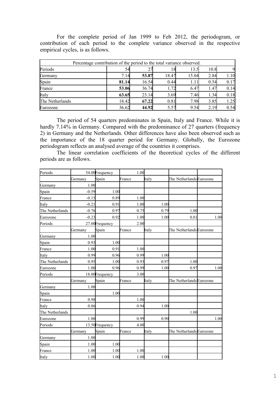For the complete period of Jan 1999 to Feb 2012, the periodogram, or contribution of each period to the complete variance observed in the respective empirical cycles, is as follows.

| Percentage contribution of the period to the total variance observed. |       |       |       |       |      |      |
|-----------------------------------------------------------------------|-------|-------|-------|-------|------|------|
| Periods                                                               | 54    | 27    |       | 13.5  | 10.8 |      |
| Germany                                                               | 7.14  | 53.87 | 18.47 | 15.04 | 2.84 | 1.10 |
| Spain                                                                 | 81.14 | 16.54 | 0.44  | 1.11  | 0.54 | 0.17 |
| France                                                                | 53.06 | 36.74 | 1.72  | 6.47  | 1.47 | 0.14 |
| Italy                                                                 | 63.65 | 23.14 | 3.69  | 7.46  | 1.34 | 0.18 |
| The Netherlands                                                       | 18.42 | 67.22 | 0.81  | 7.98  | 3.85 | 1.25 |
| Eurozone                                                              | 36.62 | 44.92 | 5.57  | 9.54  | 2.19 | 0.54 |

The period of 54 quarters predominates in Spain, Italy and France. While it is hardly 7.14% in Germany. Compared with the predominance of 27 quarters (frequency 2) in Germany and the Netherlands. Other differences have also been observed such as the importance of the 18 quarter period for Germany. Globally, the Eurozone periodogram reflects an analysed average of the countries it comprises.

The linear correlation coefficients of the theoretical cycles of the different periods are as follows.

| Periods         |         | 54.00 Frequency | 1.00   |       |                          |      |
|-----------------|---------|-----------------|--------|-------|--------------------------|------|
|                 | Germany | Spain           | France | Italy | The Netherlands Eurozone |      |
| Germany         | 1.00    |                 |        |       |                          |      |
| Spain           | $-0.59$ | 1.00            |        |       |                          |      |
| France          | $-0.15$ | 0.89            | 1.00   |       |                          |      |
| Italy           | $-0.21$ | 0.91            | 1.00   | 1.00  |                          |      |
| The Netherlands | $-0.76$ | 0.97            | 0.75   | 0.79  | 1.00                     |      |
| Eurozone        | $-0.23$ | 0.92            | 1.00   | 1.00  | 0.81                     | 1.00 |
| Periods         |         | 27.00 Frequency | 2.00   |       |                          |      |
|                 | Germany | Spain           | France | Italy | The Netherlands Eurozone |      |
| Germany         | 1.00    |                 |        |       |                          |      |
| Spain           | 0.93    | 1.00            |        |       |                          |      |
| France          | 1.00    | 0.91            | 1.00   |       |                          |      |
| Italy           | 0.99    | 0.96            | 0.99   | 1.00  |                          |      |
| The Netherlands | 0.95    | 1.00            | 0.93   | 0.97  | 1.00                     |      |
| Eurozone        | 1.00    | 0.96            | 0.99   | 1.00  | 0.97                     | 1.00 |
| Periods         |         | 18.00 Frequency | 3.00   |       |                          |      |
|                 | Germany | Spain           | France | Italy | The Netherlands Eurozone |      |
| Germany         | 1.00    |                 |        |       |                          |      |
| Spain           |         | 1.00            |        |       |                          |      |
| France          | 0.98    |                 | 1.00   |       |                          |      |
| Italy           | 0.86    |                 | 0.94   | 1.00  |                          |      |
| The Netherlands |         |                 |        |       | 1.00                     |      |
| Eurozone        | 1.00    |                 | 0.99   | 0.90  |                          | 1.00 |
| Periods         |         | 13.50 Frequency | 4.00   |       |                          |      |
|                 | Germany | Spain           | France | Italy | The Netherlands Eurozone |      |
| Germany         | 1.00    |                 |        |       |                          |      |
| Spain           | 1.00    | 1.00            |        |       |                          |      |
| France          | 1.00    | 1.00            | 1.00   |       |                          |      |
| Italy           | 1.00    | 1.00            | 1.00   | 1.00  |                          |      |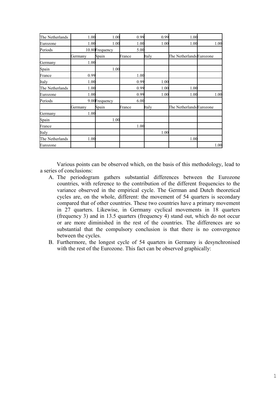| The Netherlands | 1.00    | 1.00           | 0.99   | 0.99  | 1.00                     |      |
|-----------------|---------|----------------|--------|-------|--------------------------|------|
| Eurozone        | 1.00    | 1.00           | 1.00   | 1.00  | 1.00                     | 1.00 |
| Periods         |         | 10.80Frequency | 5.00   |       |                          |      |
|                 | Germany | Spain          | France | Italy | The Netherlands Eurozone |      |
| Germany         | 1.00    |                |        |       |                          |      |
| Spain           |         | 1.00           |        |       |                          |      |
| France          | 0.99    |                | 1.00   |       |                          |      |
| Italy           | 1.00    |                | 0.99   | 1.00  |                          |      |
| The Netherlands | 1.00    |                | 0.99   | 1.00  | 1.00                     |      |
| Eurozone        | 1.00    |                | 0.99   | 1.00  | 1.00                     | 1.00 |
| Periods         |         | 9.00Frequency  | 6.00   |       |                          |      |
|                 | Germany | Spain          | France | Italy | The Netherlands Eurozone |      |
| Germany         | 1.00    |                |        |       |                          |      |
| Spain           |         | 1.00           |        |       |                          |      |
| France          |         |                | 1.00   |       |                          |      |
| Italy           |         |                |        | 1.00  |                          |      |
| The Netherlands | 1.00    |                |        |       | 1.00                     |      |
| Eurozone        |         |                |        |       |                          | 1.00 |

Various points can be observed which, on the basis of this methodology, lead to a series of conclusions:

- A. The periodogram gathers substantial differences between the Eurozone countries, with reference to the contribution of the different frequencies to the variance observed in the empirical cycle. The German and Dutch theoretical cycles are, on the whole, different: the movement of 54 quarters is secondary compared that of other countries. These two countries have a primary movement in 27 quarters. Likewise, in Germany cyclical movements in 18 quarters (frequency 3) and in 13.5 quarters (frequency 4) stand out, which do not occur or are more diminished in the rest of the countries. The differences are so substantial that the compulsory conclusion is that there is no convergence between the cycles.
- B. Furthermore, the longest cycle of 54 quarters in Germany is desynchronised with the rest of the Eurozone. This fact can be observed graphically: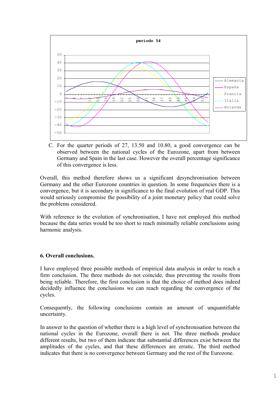

C. For the quarter periods of 27, 13.50 and 10.80, a good convergence can be observed between the national cycles of the Eurozone, apart from between Germany and Spain in the last case. However the overall percentage significance of this convergence is less.

Overall, this method therefore shows us a significant desynchronisation between Germany and the other Eurozone countries in question. In some frequencies there is a convergence, but it is secondary in significance to the final evolution of real GDP. This would seriously compromise the possibility of a joint monetary policy that could solve the problems considered.

With reference to the evolution of synchronisation, I have not employed this method because the data series would be too short to reach minimally reliable conclusions using harmonic analysis.

## **6. Overall conclusions.**

I have employed three possible methods of empirical data analysis in order to reach a firm conclusion. The three methods do not coincide, thus preventing the results from being reliable. Therefore, the first conclusion is that the choice of method does indeed decidedly influence the conclusions we can reach regarding the convergence of the cycles.

Consequently, the following conclusions contain an amount of unquantifiable uncertainty.

In answer to the question of whether there is a high level of synchronisation between the national cycles in the Eurozone, overall there is not. The three methods produce different results, but two of them indicate that substantial differences exist between the amplitudes of the cycles, and that these differences are erratic. The third method indicates that there is no convergence between Germany and the rest of the Eurozone.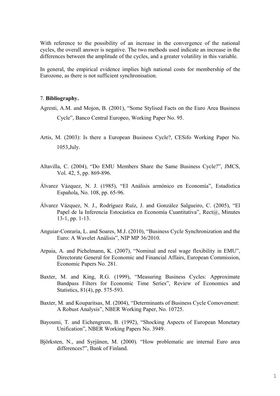With reference to the possibility of an increase in the convergence of the national cycles, the overall answer is negative. The two methods used indicate an increase in the differences between the amplitude of the cycles, and a greater volatility in this variable.

In general, the empirical evidence implies high national costs for membership of the Eurozone, as there is not sufficient synchronisation.

#### 7. **Bibliography.**

- Agresti, A.M. and Mojon, B. (2001), "Some Stylised Facts on the Euro Area Business Cycle", Banco Central Europeo, Working Paper No. 95.
- Artis, M. (2003): Is there a European Business Cycle?, CESifo Working Paper No. 1053,July.
- Altavilla, C. (2004), "Do EMU Members Share the Same Business Cycle?", JMCS, Vol. 42, 5, pp. 869-896.
- Álvarez Vázquez, N. J. (1985), "EI Análisis armónico en Economía", Estadística Española, No. 108, pp. 65-96.
- Álvarez Vázquez, N. J., Rodríguez Ruíz, J. and González Salgueiro, C. (2005), "El Papel de la Inferencia Estocástica en Economía Cuantitativa", Rect@, Minutes 13-1, pp. 1-13.
- Anguiar-Conraria, L. and Soares, M.J. (2010), "Business Cycle Synchronization and the Euro: A Wavelet Análisis", NIP MP 36/2010.
- Arpaia, A. and Pichelmann, K. (2007), "Nominal and real wage flexibility in EMU", Directorate General for Economic and Financial Affairs, European Commission, Economic Papers No. 281.
- Baxter, M. and King, R.G. (1999), "Measuring Business Cycles: Approximate Bandpass Filters for Economic Time Series", Review of Economics and Statistics, 81(4), pp. 575-593.
- Baxter, M. and Kouparitsas, M. (2004), "Determinants of Business Cycle Comovement: A Robust Analysis", NBER Working Paper, No. 10725.
- Bayoumi, T. and Eichengreen, B. (1992), "Shocking Aspects of European Monetary Unification", NBER Working Papers No. 3949.
- Björksten, N., and Syrjänen, M. (2000). "How problematic are internal Euro area differences?", Bank of Finland.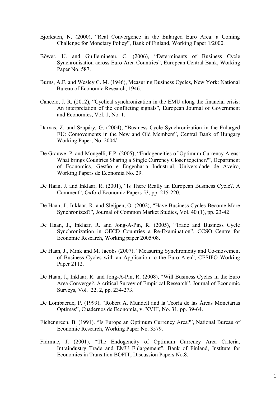- Bjorksten, N. (2000), "Real Convergence in the Enlarged Euro Area: a Coming Challenge for Monetary Policy", Bank of Finland, Working Paper 1/2000.
- Böwer, U. and Guillemineau, C. (2006), "Determinants of Business Cycle Synchronisation across Euro Area Countries", European Central Bank, Working Paper No. 587.
- Burns, A.F. and Wesley C. M. (1946), Measuring Business Cycles, New York: National Bureau of Economic Research, 1946.
- Cancelo, J. R. (2012), "Cyclical synchronization in the EMU along the financial crisis: An interpretation of the conflicting signals", European Journal of Government and Economics, Vol. 1, No. 1.
- Darvas, Z. and Szapáry, G. (2004), "Business Cycle Synchronization in the Enlarged EU: Comovements in the New and Old Members", Central Bank of Hungary Working Paper, No. 2004/1
- De Grauwe, P. and Mongelli, F.P. (2005), "Endogeneities of Optimum Currency Areas: What brings Countries Sharing a Single Currency Closer together?", Department of Economics, Gestão e Engenharia Industrial, Universidade de Aveiro, Working Papers de Economia No. 29.
- De Haan, J. and Inklaar, R. (2001), "Is There Really an European Business Cycle?. A Comment", Oxford Economic Papers 53, pp. 215-220.
- De Haan, J., Inklaar, R. and Sleijpen, O. (2002), "Have Business Cycles Become More Synchronized?", Journal of Common Market Studies, Vol. 40 (1), pp. 23-42
- De Haan, J., Inklaar, R. and Jong-A-Pin, R. (2005), "Trade and Business Cycle Synchronization in OECD Countries a Re-Examination", CCSO Centre for Economic Research, Working paper 2005/08.
- De Haan, J., Mink and M. Jacobs (2007), "Measuring Synchronicity and Co-movement of Business Cycles with an Application to the Euro Area", CESIFO Working Paper 2112.
- De Haan, J., Inklaar, R. and Jong-A-Pin, R. (2008), "Will Business Cycles in the Euro Area Converge?. A critical Survey of Empirical Research", Journal of Economic Surveys, Vol. 22, 2, pp. 234-273.
- De Lombaerde, P. (1999), "Robert A. Mundell and la Teoría de las Áreas Monetarias Óptimas", Cuadernos de Economía, v. XVIII, No. 31, pp. 39-64.
- Eichengreen, B. (1991). "Is Europe an Optimum Currency Area?", National Bureau of Economic Research, Working Paper No. 3579.
- Fidrmuc, J. (2001), "The Endogeneity of Optimum Currency Area Criteria, Intraindustry Trade and EMU Enlargement", Bank of Finland, Institute for Economies in Transition BOFIT, Discussion Papers No.8.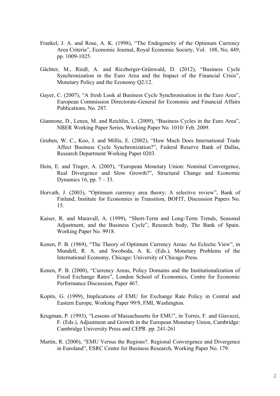- Frankel, J. A. and Rose, A. K. (1998), "The Endogeneity of the Optimum Currency Area Criteria", Economic Journal, Royal Economic Society, Vol. 108, No, 449, pp. 1009-1025.
- Gächter, M., Riedl, A. and Riczberger-Grünwald, D. (2012), "Business Cycle Synchronization in the Euro Area and the Impact of the Financial Crisis", Monetary Policy and the Economy Q2/12.
- Gayer, C. (2007), "A fresh Look al Business Cycle Synchronisation in the Euro Area", European Commission Directorate-General for Economic and Financial Affairs Publications, No. 287.
- Giannone, D., Lenza, M. and Reichlin, L. (2009), "Business Cycles in the Euro Area", NBER Working Paper Series, Working Paper No. 1010/ Feb. 2009.
- Gruben, W. C., Koo, J. and Millis, E. (2002), "How Much Does International Trade Affect Business Cycle Synchronization?", Federal Reserve Bank of Dallas, Research Department Working Paper 0203.
- Hein, E. and Truger, A. (2005), "European Monetary Union: Nominal Convergence, Real Divergence and Slow Growth?", Structural Change and Economic Dynamics 16, pp. 7 – 33.
- Horvath, J. (2003), "Optimum currency area theory: A selective review", Bank of Finland, Institute for Economies in Transition, BOFIT, Discussion Papers No. 15.
- Kaiser, R. and Maravall, A. (1999), "Short-Term and Long-Term Trends, Seasonal Adjustment, and the Business Cycle", Research body, The Bank of Spain. Working Paper No. 9918.
- Kenen, P. B. (1969), "The Theory of Optimum Currency Areas: An Eclectic View", in Mundell, R. A. and Swoboda, A. K. (Eds.), Monetary Problems of the International Economy, Chicago: University of Chicago Press.
- Kenen, P. B. (2000), "Currency Areas, Policy Domains and the Institutionalization of Fixed Exchange Rates", London School of Economics, Centre for Economic Performance Discussion, Paper 467.
- Kopits, G. (1999), Implications of EMU for Exchange Rate Policy in Central and Eastern Europe, Working Paper 99/9, FMI, Washington.
- Krugman, P. (1993), "Lessons of Massachusetts for EMU", in Torres, F. and Giavazzi, F. (Eds.), Adjustment and Growth in the European Monetary Union, Cambridge: Cambridge University Press and CEPR. pp. 241-261
- Martín, R. (2000), "EMU Versus the Regions?. Regional Convergence and Divergence in Euroland", ESRC Centre for Business Research, Working Paper No. 179.